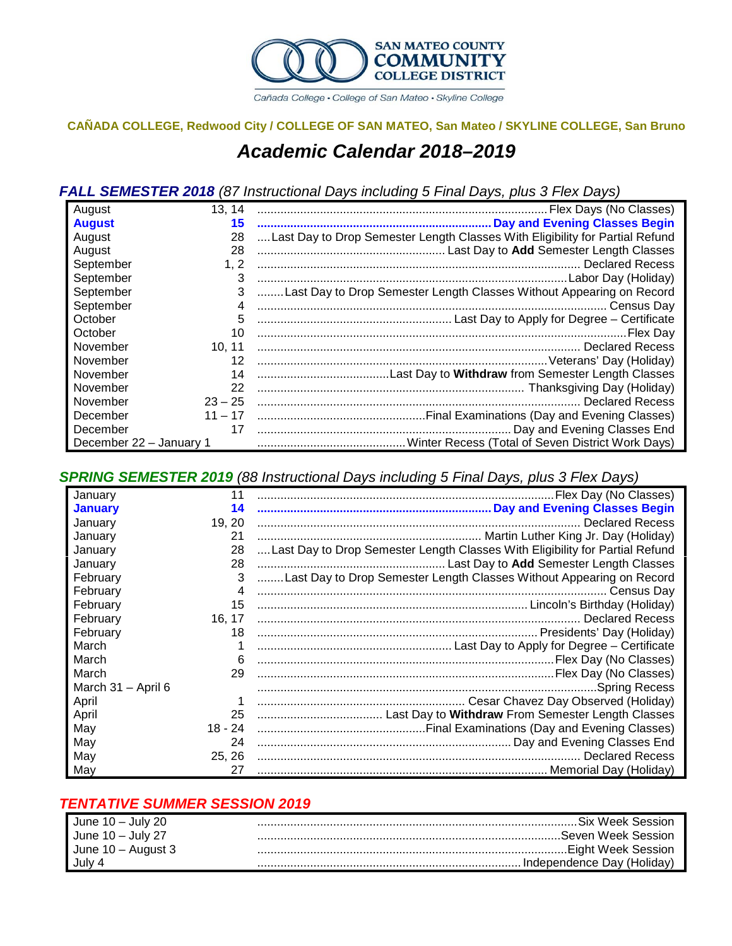

Cañada College · College of San Mateo · Skyline College

# **CAÑADA COLLEGE, Redwood City / COLLEGE OF SAN MATEO, San Mateo / SKYLINE COLLEGE, San Bruno**

# *Academic Calendar 2018–2019*

### *FALL SEMESTER 2018 (87 Instructional Days including 5 Final Days, plus 3 Flex Days)*

| August                  | 13, 14    |                                                                              |
|-------------------------|-----------|------------------------------------------------------------------------------|
| <b>August</b>           | 15        |                                                                              |
| August                  | 28        | Last Day to Drop Semester Length Classes With Eligibility for Partial Refund |
| August                  | 28        |                                                                              |
| September               | 1, 2      |                                                                              |
| September               | 3         |                                                                              |
| September               | 3         | Last Day to Drop Semester Length Classes Without Appearing on Record         |
| September               |           |                                                                              |
| October                 | 5         |                                                                              |
| October                 | 10        |                                                                              |
| November                | 10, 11    |                                                                              |
| November                | 12        |                                                                              |
| November                | 14        |                                                                              |
| November                | 22        |                                                                              |
| November                | $23 - 25$ | . Declared Recess                                                            |
| December                |           |                                                                              |
| December                | 17        |                                                                              |
| December 22 - January 1 |           |                                                                              |

*SPRING SEMESTER 2019 (88 Instructional Days including 5 Final Days, plus 3 Flex Days)*

| January            |         |                                                                              |
|--------------------|---------|------------------------------------------------------------------------------|
| <b>January</b>     | 14      |                                                                              |
| January            | 19.20   |                                                                              |
| January            | 21      |                                                                              |
| January            | 28      | Last Day to Drop Semester Length Classes With Eligibility for Partial Refund |
| January            | 28      |                                                                              |
| February           | 3       | Last Day to Drop Semester Length Classes Without Appearing on Record         |
| February           | 4       |                                                                              |
| February           | 15      |                                                                              |
| February           | 16, 17  |                                                                              |
| February           | 18      |                                                                              |
| March              |         |                                                                              |
| March              | 6       |                                                                              |
| March              | 29      |                                                                              |
| March 31 - April 6 |         | <b>Spring Recess</b>                                                         |
| April              |         |                                                                              |
| April              | 25      |                                                                              |
| May                | 18 - 24 |                                                                              |
| May                | 24      |                                                                              |
| May                | 25, 26  |                                                                              |
| May                | 27      |                                                                              |

### *TENTATIVE SUMMER SESSION 2019*

| June $10 -$ July 20 | .Six Week Session            |
|---------------------|------------------------------|
| June $10 -$ July 27 | Seven Week Session           |
| June 10 – August 3  | Eiaht Week Session.          |
| July 4              | . Independence Day (Holiday) |